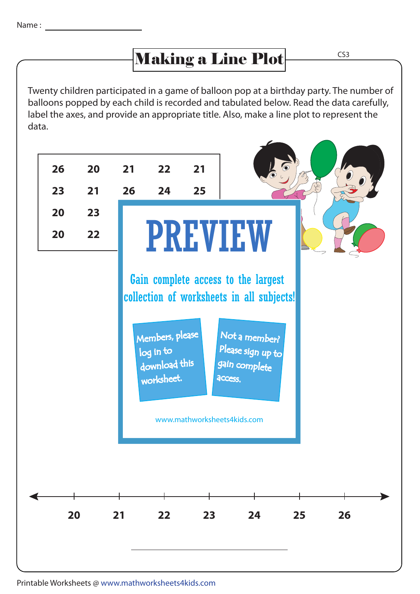## Making a Line Plot

CS3

Twenty children participated in a game of balloon pop at a birthday party. The number of balloons popped by each child is recorded and tabulated below. Read the data carefully, label the axes, and provide an appropriate title. Also, make a line plot to represent the data.